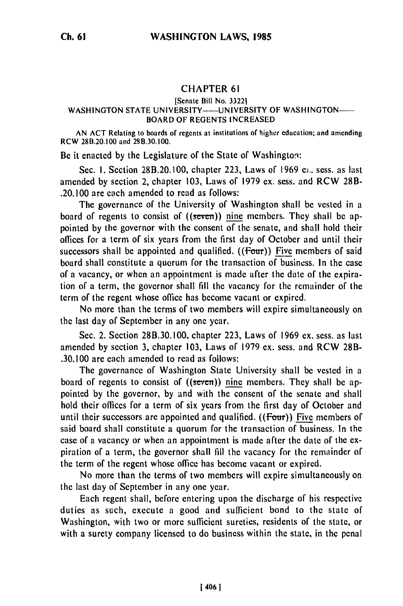## CHAPTER **61**

## [Senate Bill No. 33221 WASHINGTON STATE UNIVERSITY----- UNIVERSITY OF WASHINGTON--BOARD OF REGENTS INCREASED

AN ACT Relating to boards of regents at institutions **of** higher education; and amending RCW 28B.20.100 and **28B.30.100.**

Be it enacted by the Legislature of the State of Washington:

Sec. 1. Section 28B.20.100, chapter 223, Laws of 1969 e.., sess. as last amended by section 2, chapter 103, Laws of 1979 ex. sess. and RCW 28B- .20.100 are each amended to read as follows:

The governance of the University of Washington shall be vested in a board of regents to consist of  $((\text{seven}))$  nine members. They shall be appointed by the governor with the consent of the senate, and shall hold their offices for a term of six years from the first day of October and until their successors shall be appointed and qualified.  $(f$   $\overline{f}$  our  $f$ ) Five members of said board shall constitute a quorum for the transaction of business. In the case of a vacancy, or when an appointment is made after the date of the expiration of a term, the governor shall fill the vacancy for the remainder of the term of the regent whose office has become vacant or expired.

No more than the terms of two members will expire simultaneously on the last day of September in any one year.

Sec. 2. Section 28B.30.100, chapter 223, Laws of 1969 ex. sess. as last amended by section 3, chapter 103, Laws of 1979 ex. sess. and RCW 28B- .30.100 are each amended to read as follows:

The governance of Washington State University shall be vested in a board of regents to consist of  $((\text{seven}))$  nine members. They shall be appointed by the governor, by and with the consent of the senate and shall hold their offices for a term of six years from the first day of October and until their successors are appointed and qualified. ((Four)) Five members of said board shall constitute a quorum for the transaction of business. In the case of a vacancy or when an appointment is made after the date of the expiration of a term, the governor shall fill the vacancy for the remainder of the term of the regent whose office has become vacant or expired.

No more than the terms of two members will expire simultaneously on the last day of September in any one year.

Each regent shall, before entering upon the discharge of his respective duties as such, execute a good and sufficient bond to the state of Washington, with two or more sufficient sureties, residents of the state, or with a surety company licensed to do business within the state, in the penal